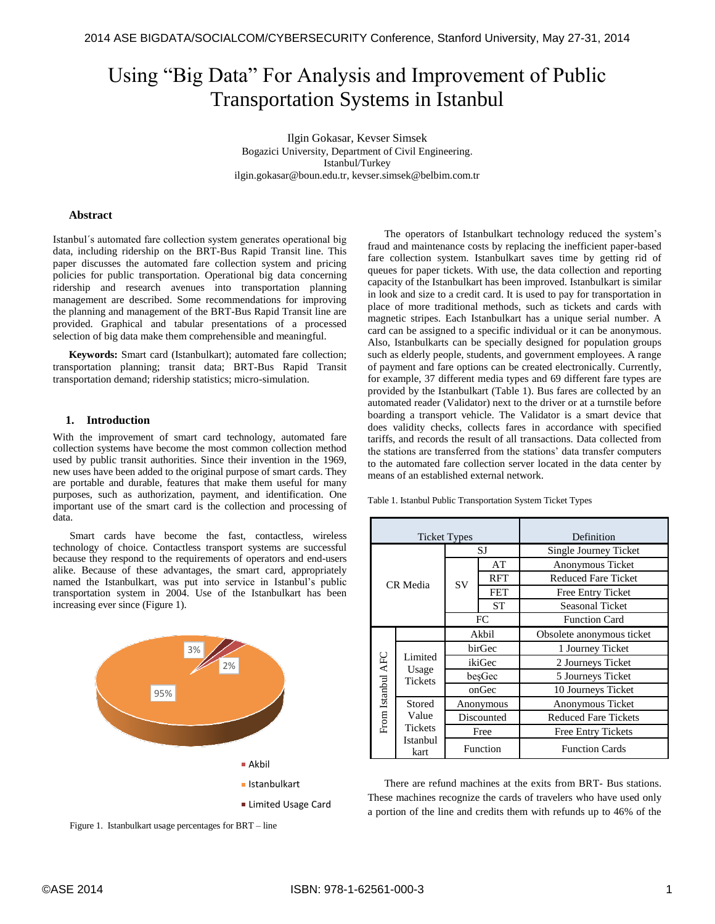# Using "Big Data" For Analysis and Improvement of Public Transportation Systems in Istanbul

Ilgin Gokasar, Kevser Simsek Bogazici University, Department of Civil Engineering. Istanbul/Turkey ilgin.gokasar@boun.edu.tr, kevser.simsek@belbim.com.tr

#### **Abstract**

Istanbul´s automated fare collection system generates operational big data, including ridership on the BRT-Bus Rapid Transit line. This paper discusses the automated fare collection system and pricing policies for public transportation. Operational big data concerning ridership and research avenues into transportation planning management are described. Some recommendations for improving the planning and management of the BRT-Bus Rapid Transit line are provided. Graphical and tabular presentations of a processed selection of big data make them comprehensible and meaningful.

**Keywords:** Smart card (Istanbulkart); automated fare collection; transportation planning; transit data; BRT-Bus Rapid Transit transportation demand; ridership statistics; micro-simulation.

#### **1. Introduction**

With the improvement of smart card technology, automated fare collection systems have become the most common collection method used by public transit authorities. Since their invention in the 1969, new uses have been added to the original purpose of smart cards. They are portable and durable, features that make them useful for many purposes, such as authorization, payment, and identification. One important use of the smart card is the collection and processing of data.

Smart cards have become the fast, contactless, wireless technology of choice. Contactless transport systems are successful because they respond to the requirements of operators and end-users alike. Because of these advantages, the smart card, appropriately named the Istanbulkart, was put into service in Istanbul's public transportation system in 2004. Use of the Istanbulkart has been increasing ever since (Figure 1).



Figure 1. Istanbulkart usage percentages for BRT – line

The operators of Istanbulkart technology reduced the system's fraud and maintenance costs by replacing the inefficient paper-based fare collection system. Istanbulkart saves time by getting rid of queues for paper tickets. With use, the data collection and reporting capacity of the Istanbulkart has been improved. Istanbulkart is similar in look and size to a credit card. It is used to pay for transportation in place of more traditional methods, such as tickets and cards with magnetic stripes. Each Istanbulkart has a unique serial number. A card can be assigned to a specific individual or it can be anonymous. Also, Istanbulkarts can be specially designed for population groups such as elderly people, students, and government employees. A range of payment and fare options can be created electronically. Currently, for example, 37 different media types and 69 different fare types are provided by the Istanbulkart (Table 1). Bus fares are collected by an automated reader (Validator) next to the driver or at a turnstile before boarding a transport vehicle. The Validator is a smart device that does validity checks, collects fares in accordance with specified tariffs, and records the result of all transactions. Data collected from the stations are transferred from the stations' data transfer computers to the automated fare collection server located in the data center by means of an established external network.

Table 1. Istanbul Public Transportation System Ticket Types

| <b>Ticket Types</b> |                                                       |            |            | Definition                  |  |
|---------------------|-------------------------------------------------------|------------|------------|-----------------------------|--|
| CR Media            |                                                       | SJ         |            | Single Journey Ticket       |  |
|                     |                                                       | <b>SV</b>  | AT         | Anonymous Ticket            |  |
|                     |                                                       |            | <b>RFT</b> | Reduced Fare Ticket         |  |
|                     |                                                       |            | <b>FET</b> | Free Entry Ticket           |  |
|                     |                                                       |            | <b>ST</b>  | <b>Seasonal Ticket</b>      |  |
|                     |                                                       | FC         |            | <b>Function Card</b>        |  |
| From Istanbul AFC   |                                                       | Akbil      |            | Obsolete anonymous ticket   |  |
|                     | Limited<br>Usage<br><b>Tickets</b>                    | birGec     |            | 1 Journey Ticket            |  |
|                     |                                                       | ikiGec     |            | 2 Journeys Ticket           |  |
|                     |                                                       | besGec     |            | 5 Journeys Ticket           |  |
|                     |                                                       | onGec      |            | 10 Journeys Ticket          |  |
|                     | Stored<br>Value<br><b>Tickets</b><br>Istanbul<br>kart | Anonymous  |            | Anonymous Ticket            |  |
|                     |                                                       | Discounted |            | <b>Reduced Fare Tickets</b> |  |
|                     |                                                       | Free       |            | Free Entry Tickets          |  |
|                     |                                                       | Function   |            | <b>Function Cards</b>       |  |

There are refund machines at the exits from BRT- Bus stations. These machines recognize the cards of travelers who have used only a portion of the line and credits them with refunds up to 46% of the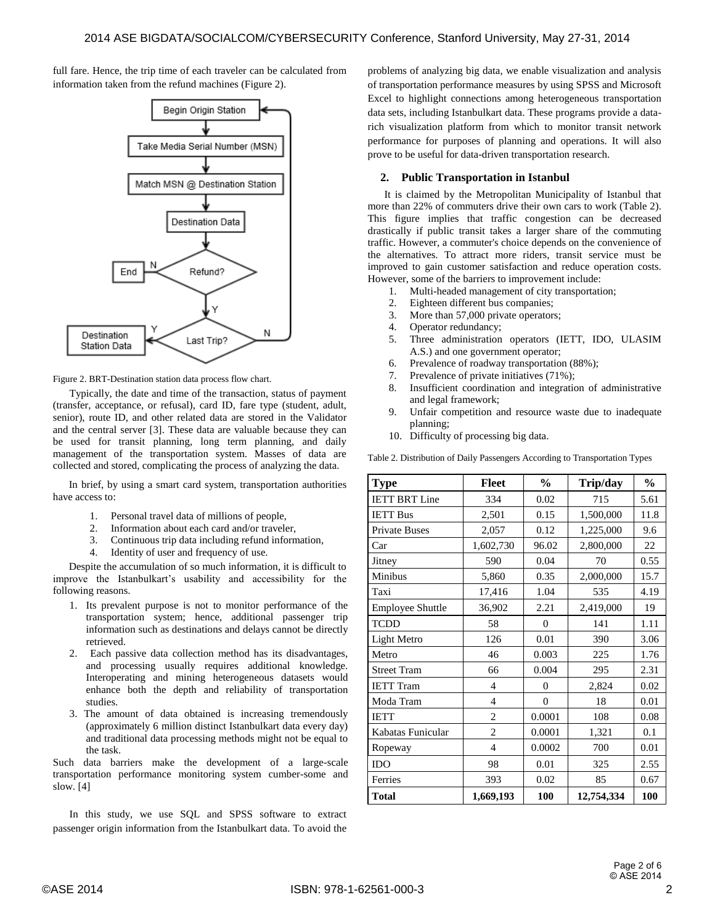full fare. Hence, the trip time of each traveler can be calculated from information taken from the refund machines (Figure 2).



Figure 2. BRT-Destination station data process flow chart.

Typically, the date and time of the transaction, status of payment (transfer, acceptance, or refusal), card ID, fare type (student, adult, senior), route ID, and other related data are stored in the Validator and the central server [3]. These data are valuable because they can be used for transit planning, long term planning, and daily management of the transportation system. Masses of data are collected and stored, complicating the process of analyzing the data.

In brief, by using a smart card system, transportation authorities have access to:

- 1. Personal travel data of millions of people,
- 2. Information about each card and/or traveler,
- 3. Continuous trip data including refund information,
- 4. Identity of user and frequency of use.

Despite the accumulation of so much information, it is difficult to improve the Istanbulkart's usability and accessibility for the following reasons.

- 1. Its prevalent purpose is not to monitor performance of the transportation system; hence, additional passenger trip information such as destinations and delays cannot be directly retrieved.
- 2. Each passive data collection method has its disadvantages, and processing usually requires additional knowledge. Interoperating and mining heterogeneous datasets would enhance both the depth and reliability of transportation studies.
- 3. The amount of data obtained is increasing tremendously (approximately 6 million distinct Istanbulkart data every day) and traditional data processing methods might not be equal to the task.

Such data barriers make the development of a large-scale transportation performance monitoring system cumber-some and slow. [4]

In this study, we use SQL and SPSS software to extract passenger origin information from the Istanbulkart data. To avoid the

problems of analyzing big data, we enable visualization and analysis of transportation performance measures by using SPSS and Microsoft Excel to highlight connections among heterogeneous transportation data sets, including Istanbulkart data. These programs provide a datarich visualization platform from which to monitor transit network performance for purposes of planning and operations. It will also prove to be useful for data-driven transportation research.

## **2. Public Transportation in Istanbul**

It is claimed by the Metropolitan Municipality of Istanbul that more than 22% of commuters drive their own cars to work (Table 2). This figure implies that traffic congestion can be decreased drastically if public transit takes a larger share of the commuting traffic. However, a commuter's choice depends on the convenience of the alternatives. To attract more riders, transit service must be improved to gain customer satisfaction and reduce operation costs. However, some of the barriers to improvement include:

- 1. Multi-headed management of city transportation;
- 2. Eighteen different bus companies;
- 3. More than 57,000 private operators;
- 4. Operator redundancy;
- 5. Three administration operators (IETT, IDO, ULASIM A.S.) and one government operator;
- 6. Prevalence of roadway transportation (88%);
- 7. Prevalence of private initiatives (71%);
- 8. Insufficient coordination and integration of administrative and legal framework;
- 9. Unfair competition and resource waste due to inadequate planning;
- 10. Difficulty of processing big data.

Table 2. Distribution of Daily Passengers According to Transportation Types

| <b>Type</b>          | <b>Fleet</b>   | $\frac{0}{0}$  | Trip/day   | $\frac{0}{0}$ |
|----------------------|----------------|----------------|------------|---------------|
| <b>IETT BRT Line</b> | 334            | 0.02           | 715        | 5.61          |
| <b>IETT Bus</b>      | 2,501          | 0.15           | 1,500,000  | 11.8          |
| <b>Private Buses</b> | 2,057          | 0.12           | 1,225,000  | 9.6           |
| Car                  | 1,602,730      | 96.02          | 2,800,000  | 22            |
| Jitney               | 590            | 0.04           | 70         | 0.55          |
| Minibus              | 5,860          | 0.35           | 2,000,000  | 15.7          |
| Taxi                 | 17,416         | 1.04           | 535        | 4.19          |
| Employee Shuttle     | 36,902         | 2.21           | 2,419,000  | 19            |
| <b>TCDD</b>          | 58             | $\overline{0}$ | 141        | 1.11          |
| Light Metro          | 126            | 0.01           | 390        | 3.06          |
| Metro                | 46             | 0.003          | 225        | 1.76          |
| <b>Street Tram</b>   | 66             | 0.004          | 295        | 2.31          |
| <b>IETT</b> Tram     | $\overline{4}$ | $\overline{0}$ | 2,824      | 0.02          |
| Moda Tram            | $\overline{4}$ | $\theta$       | 18         | 0.01          |
| <b>IETT</b>          | $\overline{2}$ | 0.0001         | 108        | 0.08          |
| Kabatas Funicular    | 2              | 0.0001         | 1,321      | 0.1           |
| Ropeway              | $\overline{4}$ | 0.0002         | 700        | 0.01          |
| <b>IDO</b>           | 98             | 0.01           | 325        | 2.55          |
| Ferries              | 393            | 0.02           | 85         | 0.67          |
| <b>Total</b>         | 1,669,193      | 100            | 12,754,334 | 100           |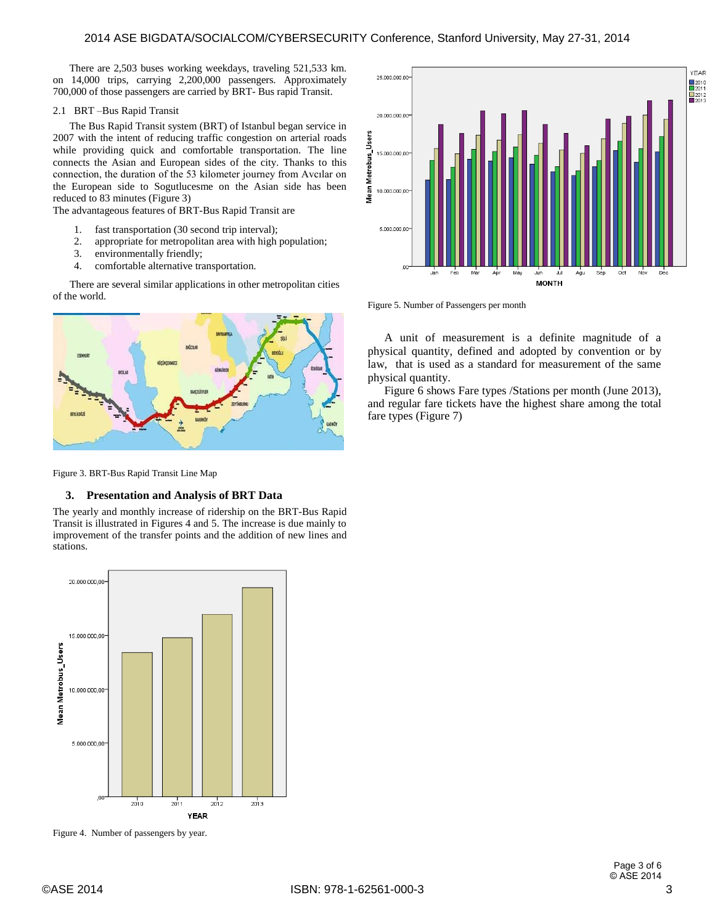There are 2,503 buses working weekdays, traveling 521,533 km. on 14,000 trips, carrying 2,200,000 passengers. Approximately 700,000 of those passengers are carried by BRT- Bus rapid Transit.

#### 2.1 BRT –Bus Rapid Transit

The Bus Rapid Transit system (BRT) of Istanbul began service in 2007 with the intent of reducing traffic congestion on arterial roads while providing quick and comfortable transportation. The line connects the Asian and European sides of the city. Thanks to this connection, the duration of the 53 kilometer journey from Avcılar on the European side to Sogutlucesme on the Asian side has been reduced to 83 minutes (Figure 3)

The advantageous features of BRT-Bus Rapid Transit are

- 1. fast transportation (30 second trip interval);
- 2. appropriate for metropolitan area with high population;
- 3. environmentally friendly;
- 4. comfortable alternative transportation.

There are several similar applications in other metropolitan cities of the world.



Figure 3. BRT-Bus Rapid Transit Line Map

#### **3. Presentation and Analysis of BRT Data**

The yearly and monthly increase of ridership on the BRT-Bus Rapid Transit is illustrated in Figures 4 and 5. The increase is due mainly to improvement of the transfer points and the addition of new lines and stations.



Figure 4. Number of passengers by year.



Figure 5. Number of Passengers per month

A unit of measurement is a definite magnitude of a physical quantity, defined and adopted by convention or by law, that is used as a standard for measurement of the same physical quantity.

Figure 6 shows Fare types /Stations per month (June 2013), and regular fare tickets have the highest share among the total fare types (Figure 7)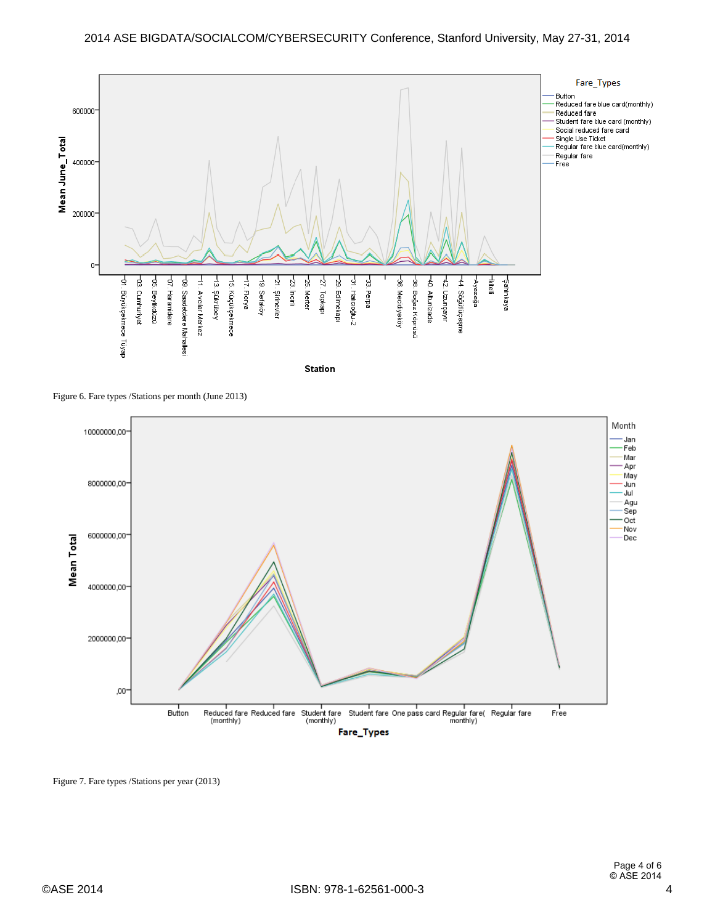

Figure 6. Fare types /Stations per month (June 2013)



Figure 7. Fare types /Stations per year (2013)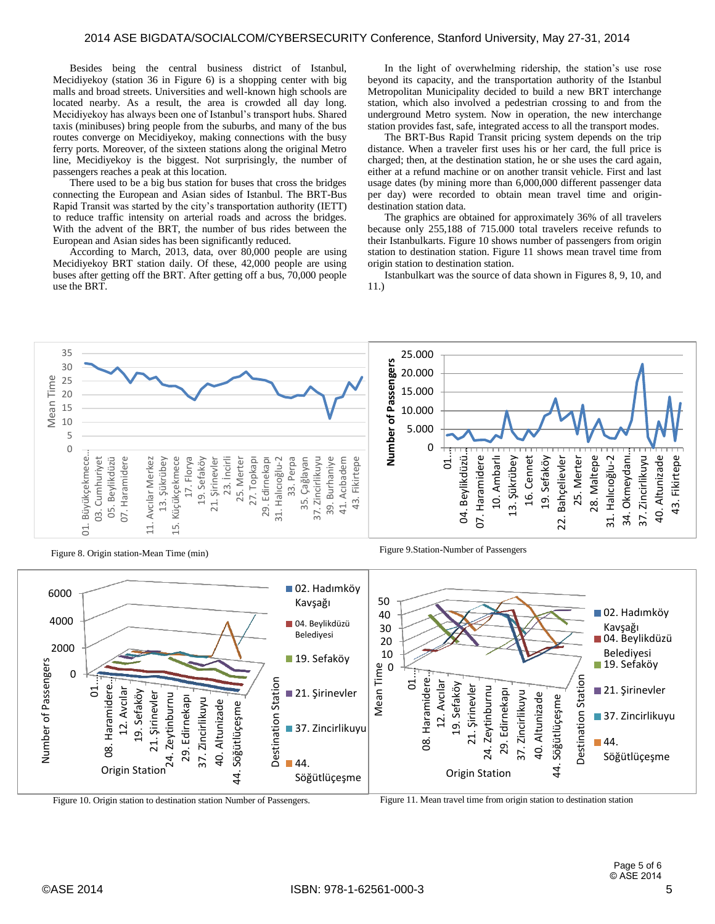Besides being the central business district of Istanbul, Mecidiyekoy (station 36 in Figure 6) is a shopping center with big malls and broad streets. Universities and well-known high schools are located nearby. As a result, the area is crowded all day long. Mecidiyekoy has always been one of Istanbul's transport hubs. Shared taxis (minibuses) bring people from the suburbs, and many of the bus routes converge on Mecidiyekoy, making connections with the busy ferry ports. Moreover, of the sixteen stations along the original Metro line, Mecidiyekoy is the biggest. Not surprisingly, the number of passengers reaches a peak at this location.

There used to be a big bus station for buses that cross the bridges connecting the European and Asian sides of Istanbul. The BRT-Bus Rapid Transit was started by the city's transportation authority (IETT) to reduce traffic intensity on arterial roads and across the bridges. With the advent of the BRT, the number of bus rides between the European and Asian sides has been significantly reduced.

According to March, 2013, data, over 80,000 people are using Mecidiyekoy BRT station daily. Of these, 42,000 people are using buses after getting off the BRT. After getting off a bus, 70,000 people use the BRT.

In the light of overwhelming ridership, the station's use rose beyond its capacity, and the transportation authority of the Istanbul Metropolitan Municipality decided to build a new BRT interchange station, which also involved a pedestrian crossing to and from the underground Metro system. Now in operation, the new interchange station provides fast, safe, integrated access to all the transport modes.

The BRT-Bus Rapid Transit pricing system depends on the trip distance. When a traveler first uses his or her card, the full price is charged; then, at the destination station, he or she uses the card again, either at a refund machine or on another transit vehicle. First and last usage dates (by mining more than 6,000,000 different passenger data per day) were recorded to obtain mean travel time and origindestination station data.

The graphics are obtained for approximately 36% of all travelers because only 255,188 of 715.000 total travelers receive refunds to their Istanbulkarts. Figure 10 shows number of passengers from origin station to destination station. Figure 11 shows mean travel time from origin station to destination station.

Istanbulkart was the source of data shown in Figures 8, 9, 10, and 11.)





Figure 8. Origin station-Mean Time (min) Figure 9. Station-Number of Passengers

Figure 10. Origin station to destination station Number of Passengers. Figure 11. Mean travel time from origin station to destination station